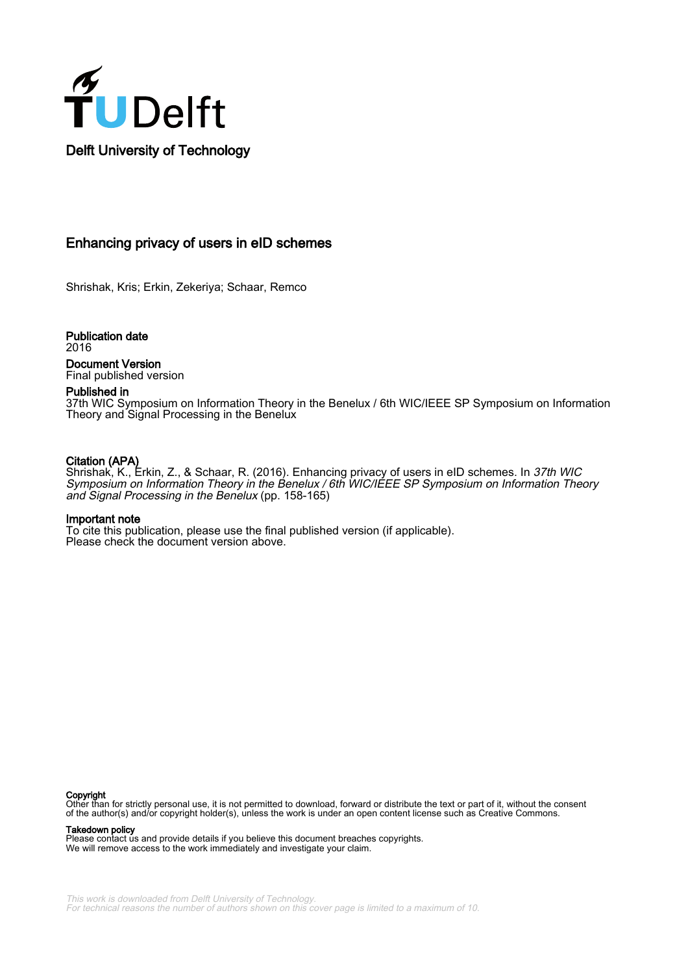

### Enhancing privacy of users in eID schemes

Shrishak, Kris; Erkin, Zekeriya; Schaar, Remco

Publication date 2016 Document Version Final published version

Published in

37th WIC Symposium on Information Theory in the Benelux / 6th WIC/IEEE SP Symposium on Information Theory and Signal Processing in the Benelux

#### Citation (APA)

Shrishak, K., Erkin, Z., & Schaar, R. (2016). Enhancing privacy of users in eID schemes. In 37th WIC Symposium on Information Theory in the Benelux / 6th WIC/IEEE SP Symposium on Information Theory and Signal Processing in the Benelux (pp. 158-165)

#### Important note

To cite this publication, please use the final published version (if applicable). Please check the document version above.

#### Copyright

Other than for strictly personal use, it is not permitted to download, forward or distribute the text or part of it, without the consent of the author(s) and/or copyright holder(s), unless the work is under an open content license such as Creative Commons.

Takedown policy

Please contact us and provide details if you believe this document breaches copyrights. We will remove access to the work immediately and investigate your claim.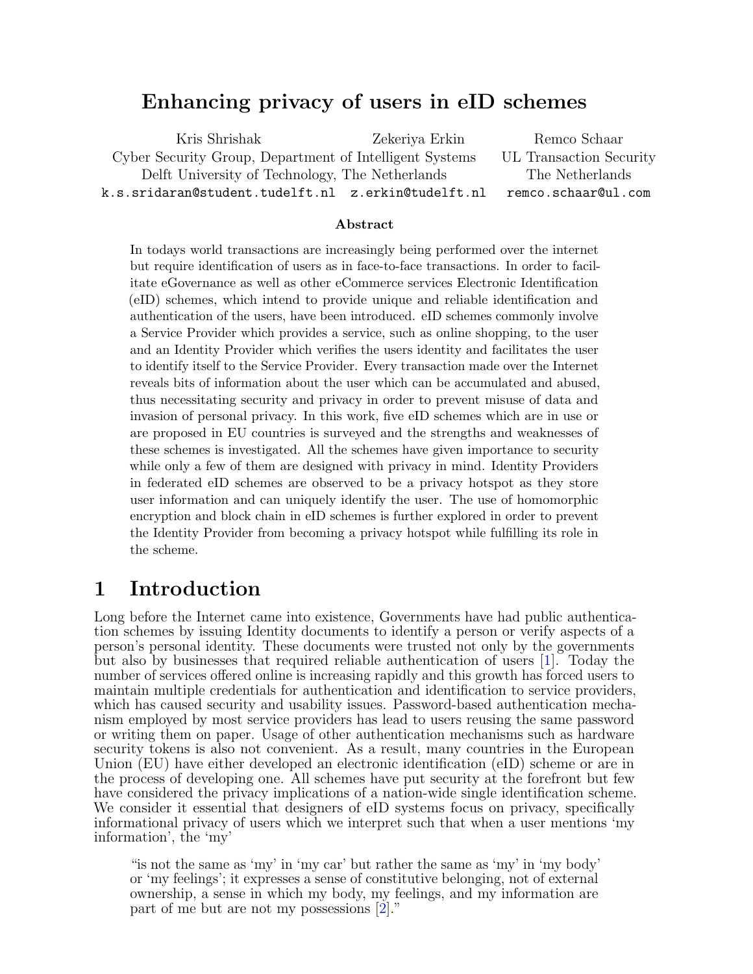## Enhancing privacy of users in eID schemes

Kris Shrishak Zekeriya Erkin Remco Schaar Cyber Security Group, Department of Intelligent Systems UL Transaction Security Delft University of Technology, The Netherlands The Netherlands k.s.sridaran@student.tudelft.nl z.erkin@tudelft.nl remco.schaar@ul.com

#### Abstract

In todays world transactions are increasingly being performed over the internet but require identification of users as in face-to-face transactions. In order to facilitate eGovernance as well as other eCommerce services Electronic Identification (eID) schemes, which intend to provide unique and reliable identification and authentication of the users, have been introduced. eID schemes commonly involve a Service Provider which provides a service, such as online shopping, to the user and an Identity Provider which verifies the users identity and facilitates the user to identify itself to the Service Provider. Every transaction made over the Internet reveals bits of information about the user which can be accumulated and abused, thus necessitating security and privacy in order to prevent misuse of data and invasion of personal privacy. In this work, five eID schemes which are in use or are proposed in EU countries is surveyed and the strengths and weaknesses of these schemes is investigated. All the schemes have given importance to security while only a few of them are designed with privacy in mind. Identity Providers in federated eID schemes are observed to be a privacy hotspot as they store user information and can uniquely identify the user. The use of homomorphic encryption and block chain in eID schemes is further explored in order to prevent the Identity Provider from becoming a privacy hotspot while fulfilling its role in the scheme.

## <span id="page-1-0"></span>1 Introduction

Long before the Internet came into existence, Governments have had public authentication schemes by issuing Identity documents to identify a person or verify aspects of a person's personal identity. These documents were trusted not only by the governments but also by businesses that required reliable authentication of users [\[1\]](#page-6-0). Today the number of services offered online is increasing rapidly and this growth has forced users to maintain multiple credentials for authentication and identification to service providers, which has caused security and usability issues. Password-based authentication mechanism employed by most service providers has lead to users reusing the same password or writing them on paper. Usage of other authentication mechanisms such as hardware security tokens is also not convenient. As a result, many countries in the European Union (EU) have either developed an electronic identification (eID) scheme or are in the process of developing one. All schemes have put security at the forefront but few have considered the privacy implications of a nation-wide single identification scheme. We consider it essential that designers of eID systems focus on privacy, specifically informational privacy of users which we interpret such that when a user mentions 'my information', the 'my'

"is not the same as 'my' in 'my car' but rather the same as 'my' in 'my body' or 'my feelings'; it expresses a sense of constitutive belonging, not of external ownership, a sense in which my body, my feelings, and my information are part of me but are not my possessions [\[2\]](#page-6-1)."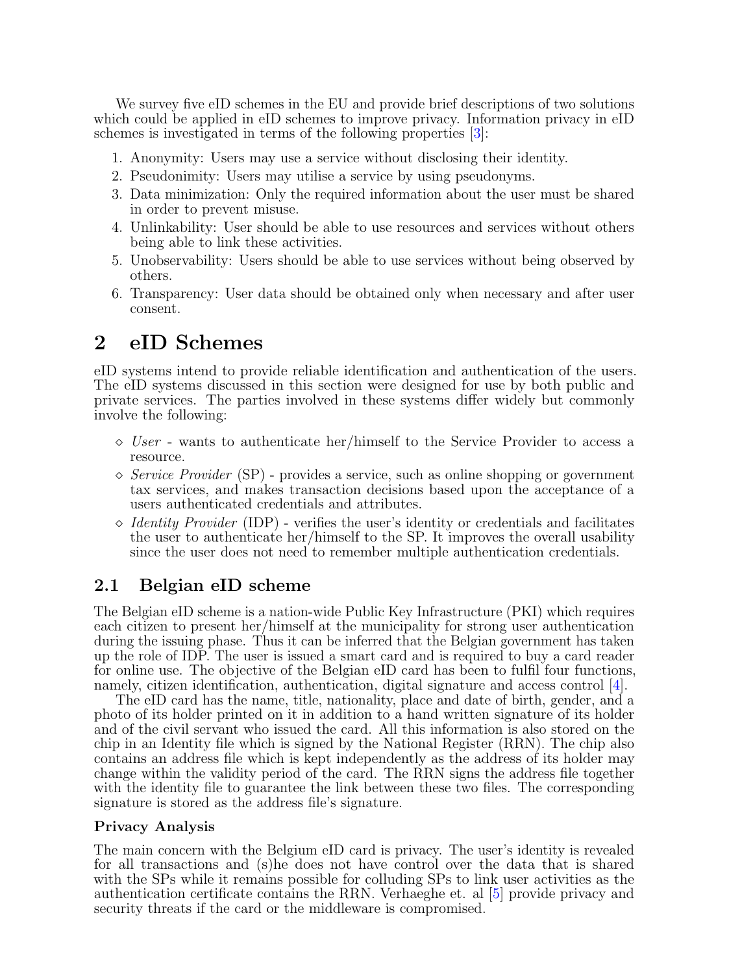We survey five eID schemes in the EU and provide brief descriptions of two solutions which could be applied in eID schemes to improve privacy. Information privacy in eID schemes is investigated in terms of the following properties [\[3\]](#page-6-2):

- 1. Anonymity: Users may use a service without disclosing their identity.
- 2. Pseudonimity: Users may utilise a service by using pseudonyms.
- 3. Data minimization: Only the required information about the user must be shared in order to prevent misuse.
- 4. Unlinkability: User should be able to use resources and services without others being able to link these activities.
- 5. Unobservability: Users should be able to use services without being observed by others.
- 6. Transparency: User data should be obtained only when necessary and after user consent.

## <span id="page-2-0"></span>2 eID Schemes

eID systems intend to provide reliable identification and authentication of the users. The eID systems discussed in this section were designed for use by both public and private services. The parties involved in these systems differ widely but commonly involve the following:

- $\Diamond$  User wants to authenticate her/himself to the Service Provider to access a resource.
- $\Diamond$  Service Provider (SP) provides a service, such as online shopping or government tax services, and makes transaction decisions based upon the acceptance of a users authenticated credentials and attributes.
- $\Diamond$  *Identity Provider* (IDP) verifies the user's identity or credentials and facilitates the user to authenticate her/himself to the SP. It improves the overall usability since the user does not need to remember multiple authentication credentials.

### 2.1 Belgian eID scheme

The Belgian eID scheme is a nation-wide Public Key Infrastructure (PKI) which requires each citizen to present her/himself at the municipality for strong user authentication during the issuing phase. Thus it can be inferred that the Belgian government has taken up the role of IDP. The user is issued a smart card and is required to buy a card reader for online use. The objective of the Belgian eID card has been to fulfil four functions, namely, citizen identification, authentication, digital signature and access control [\[4\]](#page-6-3).

The eID card has the name, title, nationality, place and date of birth, gender, and a photo of its holder printed on it in addition to a hand written signature of its holder and of the civil servant who issued the card. All this information is also stored on the chip in an Identity file which is signed by the National Register (RRN). The chip also contains an address file which is kept independently as the address of its holder may change within the validity period of the card. The RRN signs the address file together with the identity file to guarantee the link between these two files. The corresponding signature is stored as the address file's signature.

#### Privacy Analysis

The main concern with the Belgium eID card is privacy. The user's identity is revealed for all transactions and (s)he does not have control over the data that is shared with the SPs while it remains possible for colluding SPs to link user activities as the authentication certificate contains the RRN. Verhaeghe et. al [\[5\]](#page-7-0) provide privacy and security threats if the card or the middleware is compromised.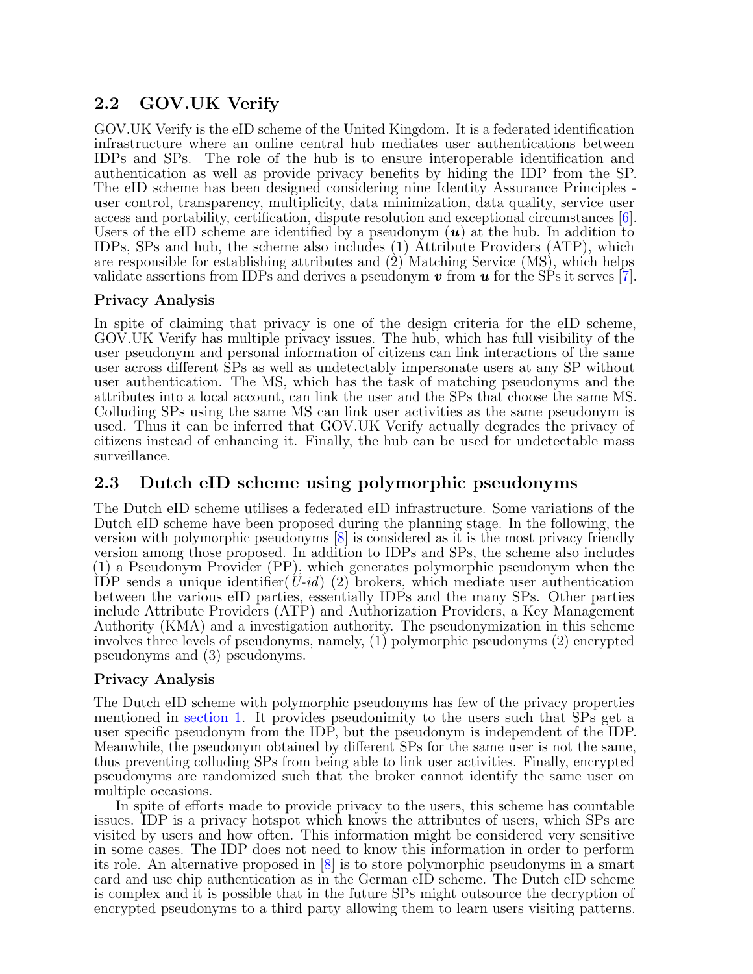## 2.2 GOV.UK Verify

GOV.UK Verify is the eID scheme of the United Kingdom. It is a federated identification infrastructure where an online central hub mediates user authentications between IDPs and SPs. The role of the hub is to ensure interoperable identification and authentication as well as provide privacy benefits by hiding the IDP from the SP. The eID scheme has been designed considering nine Identity Assurance Principles user control, transparency, multiplicity, data minimization, data quality, service user access and portability, certification, dispute resolution and exceptional circumstances [\[6\]](#page-7-1). Users of the eID scheme are identified by a pseudonym  $(u)$  at the hub. In addition to IDPs, SPs and hub, the scheme also includes (1) Attribute Providers (ATP), which are responsible for establishing attributes and (2) Matching Service (MS), which helps validate assertions from IDPs and derives a pseudonym  $v$  from  $u$  for the SPs it serves [\[7\]](#page-7-2).

#### Privacy Analysis

In spite of claiming that privacy is one of the design criteria for the eID scheme, GOV.UK Verify has multiple privacy issues. The hub, which has full visibility of the user pseudonym and personal information of citizens can link interactions of the same user across different SPs as well as undetectably impersonate users at any SP without user authentication. The MS, which has the task of matching pseudonyms and the attributes into a local account, can link the user and the SPs that choose the same MS. Colluding SPs using the same MS can link user activities as the same pseudonym is used. Thus it can be inferred that GOV.UK Verify actually degrades the privacy of citizens instead of enhancing it. Finally, the hub can be used for undetectable mass surveillance.

### 2.3 Dutch eID scheme using polymorphic pseudonyms

The Dutch eID scheme utilises a federated eID infrastructure. Some variations of the Dutch eID scheme have been proposed during the planning stage. In the following, the version with polymorphic pseudonyms [\[8\]](#page-7-3) is considered as it is the most privacy friendly version among those proposed. In addition to IDPs and SPs, the scheme also includes (1) a Pseudonym Provider (PP), which generates polymorphic pseudonym when the IDP sends a unique identifier( $U$ -id) (2) brokers, which mediate user authentication between the various eID parties, essentially IDPs and the many SPs. Other parties include Attribute Providers (ATP) and Authorization Providers, a Key Management Authority (KMA) and a investigation authority. The pseudonymization in this scheme involves three levels of pseudonyms, namely, (1) polymorphic pseudonyms (2) encrypted pseudonyms and (3) pseudonyms.

### Privacy Analysis

The Dutch eID scheme with polymorphic pseudonyms has few of the privacy properties mentioned in [section 1.](#page-1-0) It provides pseudonimity to the users such that SPs get a user specific pseudonym from the IDP, but the pseudonym is independent of the IDP. Meanwhile, the pseudonym obtained by different SPs for the same user is not the same, thus preventing colluding SPs from being able to link user activities. Finally, encrypted pseudonyms are randomized such that the broker cannot identify the same user on multiple occasions.

In spite of efforts made to provide privacy to the users, this scheme has countable issues. IDP is a privacy hotspot which knows the attributes of users, which SPs are visited by users and how often. This information might be considered very sensitive in some cases. The IDP does not need to know this information in order to perform its role. An alternative proposed in [\[8\]](#page-7-3) is to store polymorphic pseudonyms in a smart card and use chip authentication as in the German eID scheme. The Dutch eID scheme is complex and it is possible that in the future SPs might outsource the decryption of encrypted pseudonyms to a third party allowing them to learn users visiting patterns.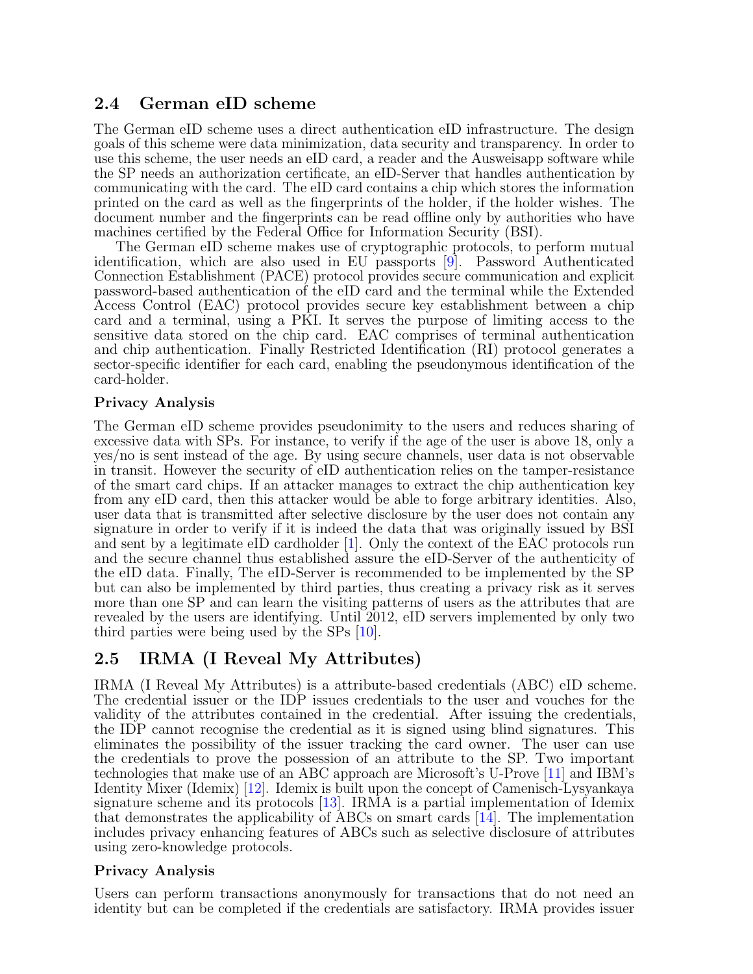### 2.4 German eID scheme

The German eID scheme uses a direct authentication eID infrastructure. The design goals of this scheme were data minimization, data security and transparency. In order to use this scheme, the user needs an eID card, a reader and the Ausweisapp software while the SP needs an authorization certificate, an eID-Server that handles authentication by communicating with the card. The eID card contains a chip which stores the information printed on the card as well as the fingerprints of the holder, if the holder wishes. The document number and the fingerprints can be read offline only by authorities who have machines certified by the Federal Office for Information Security (BSI).

The German eID scheme makes use of cryptographic protocols, to perform mutual identification, which are also used in EU passports [\[9\]](#page-7-4). Password Authenticated Connection Establishment (PACE) protocol provides secure communication and explicit password-based authentication of the eID card and the terminal while the Extended Access Control (EAC) protocol provides secure key establishment between a chip card and a terminal, using a PKI. It serves the purpose of limiting access to the sensitive data stored on the chip card. EAC comprises of terminal authentication and chip authentication. Finally Restricted Identification (RI) protocol generates a sector-specific identifier for each card, enabling the pseudonymous identification of the card-holder.

#### Privacy Analysis

The German eID scheme provides pseudonimity to the users and reduces sharing of excessive data with SPs. For instance, to verify if the age of the user is above 18, only a yes/no is sent instead of the age. By using secure channels, user data is not observable in transit. However the security of eID authentication relies on the tamper-resistance of the smart card chips. If an attacker manages to extract the chip authentication key from any eID card, then this attacker would be able to forge arbitrary identities. Also, user data that is transmitted after selective disclosure by the user does not contain any signature in order to verify if it is indeed the data that was originally issued by BSI and sent by a legitimate eID cardholder [\[1\]](#page-6-0). Only the context of the EAC protocols run and the secure channel thus established assure the eID-Server of the authenticity of the eID data. Finally, The eID-Server is recommended to be implemented by the SP but can also be implemented by third parties, thus creating a privacy risk as it serves more than one SP and can learn the visiting patterns of users as the attributes that are revealed by the users are identifying. Until 2012, eID servers implemented by only two third parties were being used by the SPs [\[10\]](#page-7-5).

### 2.5 IRMA (I Reveal My Attributes)

IRMA (I Reveal My Attributes) is a attribute-based credentials (ABC) eID scheme. The credential issuer or the IDP issues credentials to the user and vouches for the validity of the attributes contained in the credential. After issuing the credentials, the IDP cannot recognise the credential as it is signed using blind signatures. This eliminates the possibility of the issuer tracking the card owner. The user can use the credentials to prove the possession of an attribute to the SP. Two important technologies that make use of an ABC approach are Microsoft's U-Prove [\[11\]](#page-7-6) and IBM's Identity Mixer (Idemix) [\[12\]](#page-7-7). Idemix is built upon the concept of Camenisch-Lysyankaya signature scheme and its protocols [\[13\]](#page-7-8). IRMA is a partial implementation of Idemix that demonstrates the applicability of ABCs on smart cards [\[14\]](#page-7-9). The implementation includes privacy enhancing features of ABCs such as selective disclosure of attributes using zero-knowledge protocols.

#### Privacy Analysis

Users can perform transactions anonymously for transactions that do not need an identity but can be completed if the credentials are satisfactory. IRMA provides issuer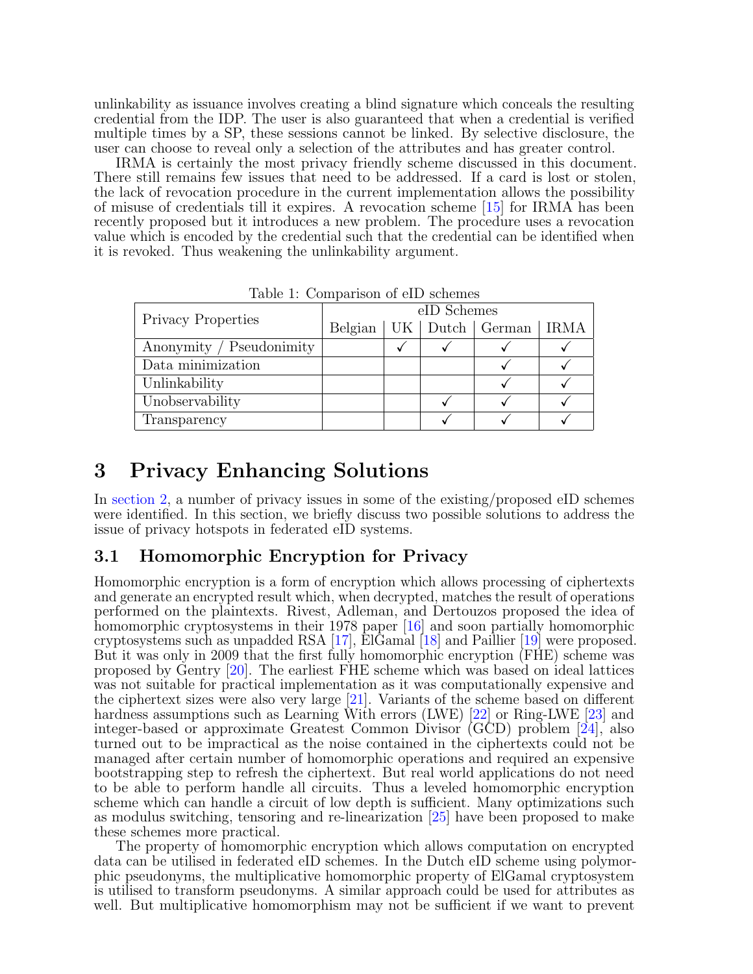unlinkability as issuance involves creating a blind signature which conceals the resulting credential from the IDP. The user is also guaranteed that when a credential is verified multiple times by a SP, these sessions cannot be linked. By selective disclosure, the user can choose to reveal only a selection of the attributes and has greater control.

IRMA is certainly the most privacy friendly scheme discussed in this document. There still remains few issues that need to be addressed. If a card is lost or stolen, the lack of revocation procedure in the current implementation allows the possibility of misuse of credentials till it expires. A revocation scheme [\[15\]](#page-7-10) for IRMA has been recently proposed but it introduces a new problem. The procedure uses a revocation value which is encoded by the credential such that the credential can be identified when it is revoked. Thus weakening the unlinkability argument.

| <b>Privacy Properties</b> | eID Schemes |  |  |                                      |  |
|---------------------------|-------------|--|--|--------------------------------------|--|
|                           |             |  |  | Belgian   UK   Dutch   German   IRMA |  |
| Anonymity / Pseudonimity  |             |  |  |                                      |  |
| Data minimization         |             |  |  |                                      |  |
| Unlinkability             |             |  |  |                                      |  |
| Unobservability           |             |  |  |                                      |  |
| Transparency              |             |  |  |                                      |  |

Table 1: Comparison of eID schemes

# 3 Privacy Enhancing Solutions

In [section 2,](#page-2-0) a number of privacy issues in some of the existing/proposed eID schemes were identified. In this section, we briefly discuss two possible solutions to address the issue of privacy hotspots in federated eID systems.

### 3.1 Homomorphic Encryption for Privacy

Homomorphic encryption is a form of encryption which allows processing of ciphertexts and generate an encrypted result which, when decrypted, matches the result of operations performed on the plaintexts. Rivest, Adleman, and Dertouzos proposed the idea of homomorphic cryptosystems in their 1978 paper [\[16\]](#page-7-11) and soon partially homomorphic cryptosystems such as unpadded RSA [\[17\]](#page-7-12), ElGamal [\[18\]](#page-7-13) and Paillier [\[19\]](#page-7-14) were proposed. But it was only in 2009 that the first fully homomorphic encryption (FHE) scheme was proposed by Gentry [\[20\]](#page-8-0). The earliest FHE scheme which was based on ideal lattices was not suitable for practical implementation as it was computationally expensive and the ciphertext sizes were also very large [\[21\]](#page-8-1). Variants of the scheme based on different hardness assumptions such as Learning With errors (LWE) [\[22\]](#page-8-2) or Ring-LWE [\[23\]](#page-8-3) and integer-based or approximate Greatest Common Divisor (GCD) problem [\[24\]](#page-8-4), also turned out to be impractical as the noise contained in the ciphertexts could not be managed after certain number of homomorphic operations and required an expensive bootstrapping step to refresh the ciphertext. But real world applications do not need to be able to perform handle all circuits. Thus a leveled homomorphic encryption scheme which can handle a circuit of low depth is sufficient. Many optimizations such as modulus switching, tensoring and re-linearization [\[25\]](#page-8-5) have been proposed to make these schemes more practical.

The property of homomorphic encryption which allows computation on encrypted data can be utilised in federated eID schemes. In the Dutch eID scheme using polymorphic pseudonyms, the multiplicative homomorphic property of ElGamal cryptosystem is utilised to transform pseudonyms. A similar approach could be used for attributes as well. But multiplicative homomorphism may not be sufficient if we want to prevent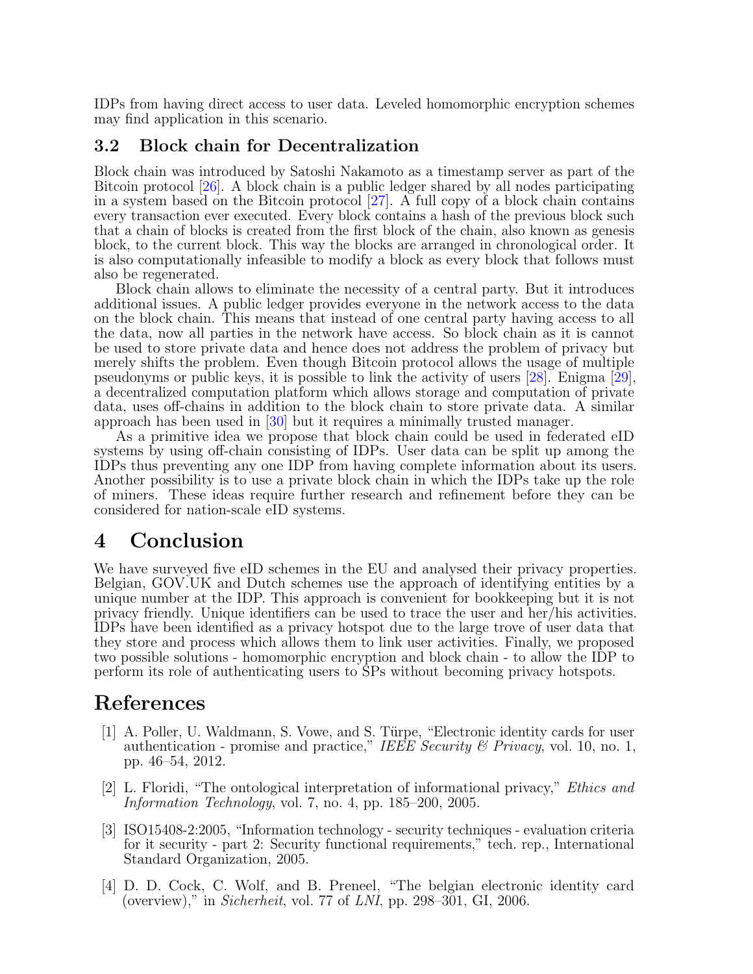IDPs from having direct access to user data. Leveled homomorphic encryption schemes may find application in this scenario.

#### 3.2 Block chain for Decentralization

Block chain was introduced by Satoshi Nakamoto as a timestamp server as part of the Bitcoin protocol [\[26\]](#page-8-6). A block chain is a public ledger shared by all nodes participating in a system based on the Bitcoin protocol  $[27]$ . A full copy of a block chain contains every transaction ever executed. Every block contains a hash of the previous block such that a chain of blocks is created from the first block of the chain, also known as genesis block, to the current block. This way the blocks are arranged in chronological order. It is also computationally infeasible to modify a block as every block that follows must also be regenerated.

Block chain allows to eliminate the necessity of a central party. But it introduces additional issues. A public ledger provides everyone in the network access to the data on the block chain. This means that instead of one central party having access to all the data, now all parties in the network have access. So block chain as it is cannot be used to store private data and hence does not address the problem of privacy but merely shifts the problem. Even though Bitcoin protocol allows the usage of multiple pseudonyms or public keys, it is possible to link the activity of users [\[28\]](#page-8-8). Enigma [\[29\]](#page-8-9), a decentralized computation platform which allows storage and computation of private data, uses off-chains in addition to the block chain to store private data. A similar approach has been used in [\[30\]](#page-8-10) but it requires a minimally trusted manager.

As a primitive idea we propose that block chain could be used in federated eID systems by using off-chain consisting of IDPs. User data can be split up among the IDPs thus preventing any one IDP from having complete information about its users. Another possibility is to use a private block chain in which the IDPs take up the role of miners. These ideas require further research and refinement before they can be considered for nation-scale eID systems.

## 4 Conclusion

We have surveyed five eID schemes in the EU and analysed their privacy properties. Belgian, GOV.UK and Dutch schemes use the approach of identifying entities by a unique number at the IDP. This approach is convenient for bookkeeping but it is not privacy friendly. Unique identifiers can be used to trace the user and her/his activities. IDPs have been identified as a privacy hotspot due to the large trove of user data that they store and process which allows them to link user activities. Finally, we proposed two possible solutions - homomorphic encryption and block chain - to allow the IDP to perform its role of authenticating users to SPs without becoming privacy hotspots.

## References

- <span id="page-6-0"></span>[1] A. Poller, U. Waldmann, S. Vowe, and S. Türpe, "Electronic identity cards for user authentication - promise and practice," IEEE Security  $\mathcal B$  Privacy, vol. 10, no. 1, pp. 46–54, 2012.
- <span id="page-6-1"></span>[2] L. Floridi, "The ontological interpretation of informational privacy," Ethics and Information Technology, vol. 7, no. 4, pp. 185–200, 2005.
- <span id="page-6-2"></span>[3] ISO15408-2:2005, "Information technology - security techniques - evaluation criteria for it security - part 2: Security functional requirements," tech. rep., International Standard Organization, 2005.
- <span id="page-6-3"></span>[4] D. D. Cock, C. Wolf, and B. Preneel, "The belgian electronic identity card (overview)," in Sicherheit, vol. 77 of LNI, pp. 298–301, GI, 2006.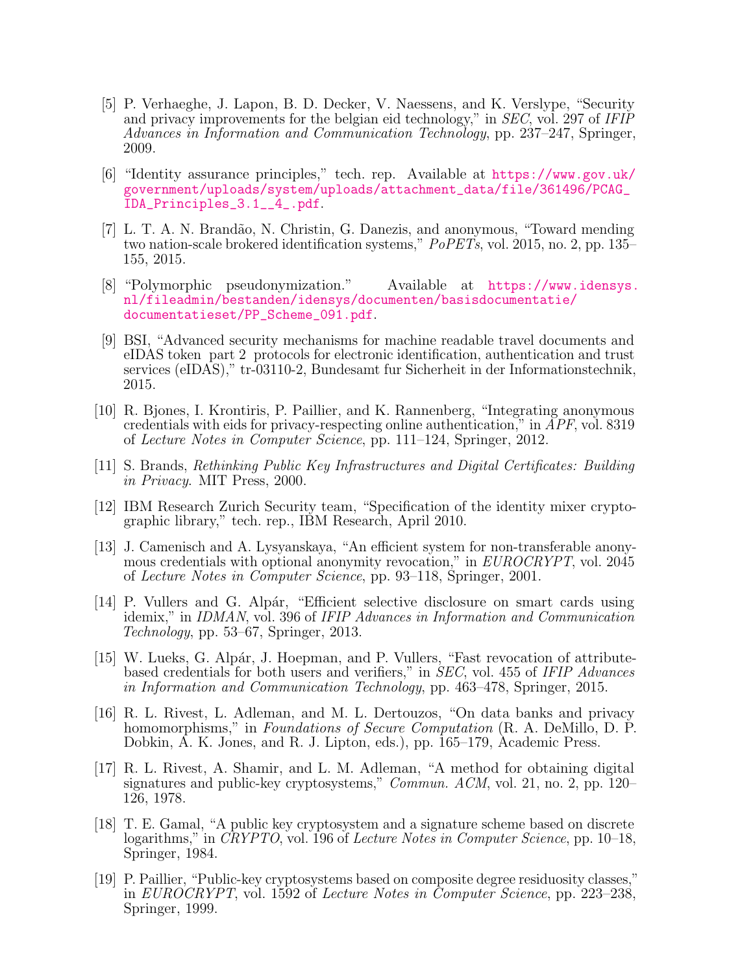- <span id="page-7-0"></span>[5] P. Verhaeghe, J. Lapon, B. D. Decker, V. Naessens, and K. Verslype, "Security and privacy improvements for the belgian eid technology," in SEC, vol. 297 of IFIP Advances in Information and Communication Technology, pp. 237–247, Springer, 2009.
- <span id="page-7-1"></span>[6] "Identity assurance principles," tech. rep. Available at [https://www.gov.uk/](https://www.gov.uk/government/uploads/system/uploads/attachment_data/file/361496/PCAG_IDA_Principles_3.1__4_.pdf) [government/uploads/system/uploads/attachment\\_data/file/361496/PCAG\\_](https://www.gov.uk/government/uploads/system/uploads/attachment_data/file/361496/PCAG_IDA_Principles_3.1__4_.pdf) [IDA\\_Principles\\_3.1\\_\\_4\\_.pdf](https://www.gov.uk/government/uploads/system/uploads/attachment_data/file/361496/PCAG_IDA_Principles_3.1__4_.pdf).
- <span id="page-7-2"></span>[7] L. T. A. N. Brand˜ao, N. Christin, G. Danezis, and anonymous, "Toward mending two nation-scale brokered identification systems,"  $PoPETs$ , vol. 2015, no. 2, pp. 135– 155, 2015.
- <span id="page-7-3"></span>[8] "Polymorphic pseudonymization." Available at [https://www.idensys.](https://www.idensys.nl/fileadmin/bestanden/idensys/documenten/basisdocumentatie/documentatieset/PP_Scheme_091.pdf) [nl/fileadmin/bestanden/idensys/documenten/basisdocumentatie/](https://www.idensys.nl/fileadmin/bestanden/idensys/documenten/basisdocumentatie/documentatieset/PP_Scheme_091.pdf) [documentatieset/PP\\_Scheme\\_091.pdf](https://www.idensys.nl/fileadmin/bestanden/idensys/documenten/basisdocumentatie/documentatieset/PP_Scheme_091.pdf).
- <span id="page-7-4"></span>[9] BSI, "Advanced security mechanisms for machine readable travel documents and eIDAS token part 2 protocols for electronic identification, authentication and trust services (eIDAS)," tr-03110-2, Bundesamt fur Sicherheit in der Informationstechnik, 2015.
- <span id="page-7-5"></span>[10] R. Bjones, I. Krontiris, P. Paillier, and K. Rannenberg, "Integrating anonymous credentials with eids for privacy-respecting online authentication," in APF, vol. 8319 of Lecture Notes in Computer Science, pp. 111–124, Springer, 2012.
- <span id="page-7-6"></span>[11] S. Brands, Rethinking Public Key Infrastructures and Digital Certificates: Building in Privacy. MIT Press, 2000.
- <span id="page-7-7"></span>[12] IBM Research Zurich Security team, "Specification of the identity mixer cryptographic library," tech. rep., IBM Research, April 2010.
- <span id="page-7-8"></span>[13] J. Camenisch and A. Lysyanskaya, "An efficient system for non-transferable anonymous credentials with optional anonymity revocation," in EUROCRYPT, vol. 2045 of Lecture Notes in Computer Science, pp. 93–118, Springer, 2001.
- <span id="page-7-9"></span>[14] P. Vullers and G. Alpár, "Efficient selective disclosure on smart cards using idemix," in IDMAN, vol. 396 of IFIP Advances in Information and Communication Technology, pp. 53–67, Springer, 2013.
- <span id="page-7-10"></span>[15] W. Lueks, G. Alpár, J. Hoepman, and P. Vullers, "Fast revocation of attributebased credentials for both users and verifiers," in SEC, vol. 455 of IFIP Advances in Information and Communication Technology, pp. 463–478, Springer, 2015.
- <span id="page-7-11"></span>[16] R. L. Rivest, L. Adleman, and M. L. Dertouzos, "On data banks and privacy homomorphisms," in *Foundations of Secure Computation* (R. A. DeMillo, D. P. Dobkin, A. K. Jones, and R. J. Lipton, eds.), pp. 165–179, Academic Press.
- <span id="page-7-12"></span>[17] R. L. Rivest, A. Shamir, and L. M. Adleman, "A method for obtaining digital signatures and public-key cryptosystems," Commun. ACM, vol. 21, no. 2, pp. 120– 126, 1978.
- <span id="page-7-13"></span>[18] T. E. Gamal, "A public key cryptosystem and a signature scheme based on discrete logarithms," in *CRYPTO*, vol. 196 of *Lecture Notes in Computer Science*, pp. 10–18, Springer, 1984.
- <span id="page-7-14"></span>[19] P. Paillier, "Public-key cryptosystems based on composite degree residuosity classes," in EUROCRYPT, vol. 1592 of Lecture Notes in Computer Science, pp. 223–238, Springer, 1999.